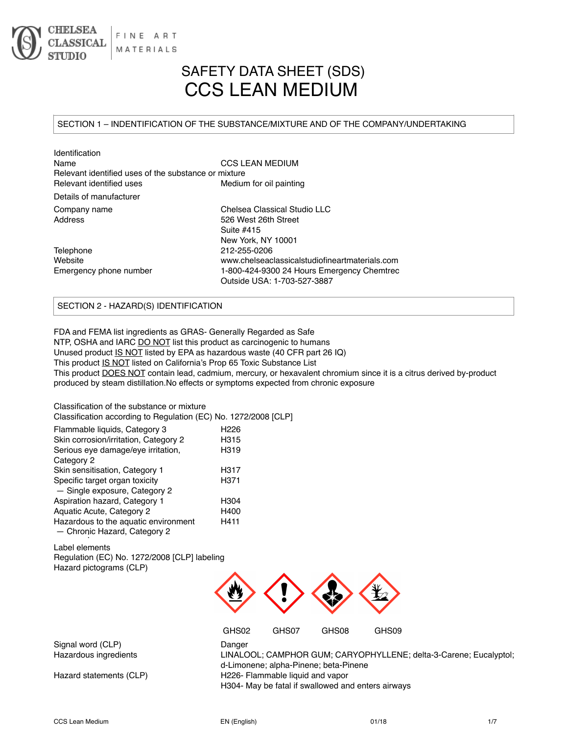

# SAFETY DATA SHEET (SDS) CCS LEAN MEDIUM

## SECTION 1 – INDENTIFICATION OF THE SUBSTANCE/MIXTURE AND OF THE COMPANY/UNDERTAKING

| Identification                                       |                                                |  |  |
|------------------------------------------------------|------------------------------------------------|--|--|
| Name                                                 | <b>CCS LEAN MEDIUM</b>                         |  |  |
| Relevant identified uses of the substance or mixture |                                                |  |  |
| Relevant identified uses<br>Medium for oil painting  |                                                |  |  |
| Details of manufacturer                              |                                                |  |  |
| Company name                                         | Chelsea Classical Studio LLC                   |  |  |
| Address                                              | 526 West 26th Street                           |  |  |
|                                                      | Suite #415                                     |  |  |
|                                                      | New York, NY 10001                             |  |  |
| Telephone                                            | 212-255-0206                                   |  |  |
| Website                                              | www.chelseaclassicalstudiofineartmaterials.com |  |  |
| Emergency phone number                               | 1-800-424-9300 24 Hours Emergency Chemtrec     |  |  |
|                                                      | Outside USA: 1-703-527-3887                    |  |  |
|                                                      |                                                |  |  |

## SECTION 2 - HAZARD(S) IDENTIFICATION

FDA and FEMA list ingredients as GRAS- Generally Regarded as Safe NTP, OSHA and IARC DO NOT list this product as carcinogenic to humans Unused product IS NOT listed by EPA as hazardous waste (40 CFR part 26 IQ) This product IS NOT listed on California's Prop 65 Toxic Substance List This product DOES NOT contain lead, cadmium, mercury, or hexavalent chromium since it is a citrus derived by-product produced by steam distillation.No effects or symptoms expected from chronic exposure

Classification of the substance or mixture

| טושטטוווטענוטו טו גווט טשטענערוטט וויווויגעווט<br>Classification according to Regulation (EC) No. 1272/2008 [CLP] |                  |
|-------------------------------------------------------------------------------------------------------------------|------------------|
| Flammable liquids, Category 3                                                                                     | H <sub>226</sub> |
| Skin corrosion/irritation, Category 2                                                                             | H315             |
| Serious eye damage/eye irritation,                                                                                | H319             |
| Category 2                                                                                                        |                  |
| Skin sensitisation, Category 1                                                                                    | H317             |
| Specific target organ toxicity                                                                                    | H <sub>371</sub> |
| - Single exposure, Category 2                                                                                     |                  |
| Aspiration hazard, Category 1                                                                                     | H304             |
| Aquatic Acute, Category 2                                                                                         | H400             |
| Hazardous to the aquatic environment                                                                              | H411             |
| - Chronic Hazard, Category 2                                                                                      |                  |
|                                                                                                                   |                  |

Label elements Regulation (EC) No. 1272/2008 [CLP] labeling Hazard pictograms (CLP)



GHS02 GHS07 GHS08 GHS09

Signal word (CLP) Danger

Hazardous ingredients LINALOOL; CAMPHOR GUM; CARYOPHYLLENE; delta-3-Carene; Eucalyptol; d-Limonene; alpha-Pinene; beta-Pinene Hazard statements (CLP) H226- Flammable liquid and vapor H304- May be fatal if swallowed and enters airways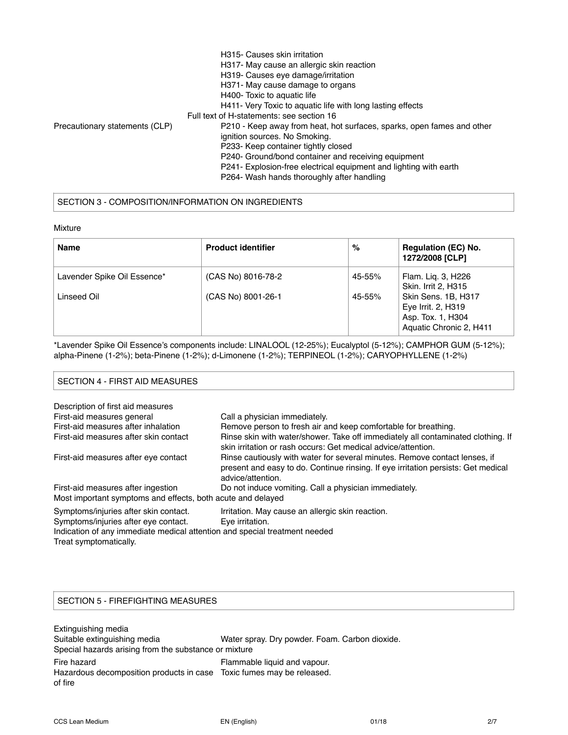|                                | H315- Causes skin irritation                                           |
|--------------------------------|------------------------------------------------------------------------|
|                                | H317- May cause an allergic skin reaction                              |
|                                | H319- Causes eye damage/irritation                                     |
|                                | H371- May cause damage to organs                                       |
|                                | H400- Toxic to aquatic life                                            |
|                                | H411- Very Toxic to aquatic life with long lasting effects             |
|                                | Full text of H-statements: see section 16                              |
| Precautionary statements (CLP) | P210 - Keep away from heat, hot surfaces, sparks, open fames and other |
|                                | ignition sources. No Smoking.                                          |
|                                | P233- Keep container tightly closed                                    |
|                                | P240- Ground/bond container and receiving equipment                    |
|                                | P241- Explosion-free electrical equipment and lighting with earth      |
|                                | P264- Wash hands thoroughly after handling                             |

# SECTION 3 - COMPOSITION/INFORMATION ON INGREDIENTS

| Mixture |  |
|---------|--|
|---------|--|

| <b>Name</b>                                | <b>Product identifier</b>                | $\%$             | <b>Regulation (EC) No.</b><br>1272/2008 [CLP]                      |  |
|--------------------------------------------|------------------------------------------|------------------|--------------------------------------------------------------------|--|
| Lavender Spike Oil Essence*<br>Linseed Oil | (CAS No) 8016-78-2<br>(CAS No) 8001-26-1 | 45-55%<br>45-55% | Flam. Lig. 3, H226<br>Skin. Irrit 2, H315<br>Skin Sens. 1B, H317   |  |
|                                            |                                          |                  | Eye Irrit. 2, H319<br>Asp. Tox. 1, H304<br>Aquatic Chronic 2, H411 |  |

\*Lavender Spike Oil Essence's components include: LINALOOL (12-25%); Eucalyptol (5-12%); CAMPHOR GUM (5-12%); alpha-Pinene (1-2%); beta-Pinene (1-2%); d-Limonene (1-2%); TERPINEOL (1-2%); CARYOPHYLLENE (1-2%)

#### SECTION 4 - FIRST AID MEASURES

| Description of first aid measures                                          |                                                                                                                                                                                      |  |  |  |
|----------------------------------------------------------------------------|--------------------------------------------------------------------------------------------------------------------------------------------------------------------------------------|--|--|--|
| First-aid measures general                                                 | Call a physician immediately.                                                                                                                                                        |  |  |  |
| First-aid measures after inhalation                                        | Remove person to fresh air and keep comfortable for breathing.                                                                                                                       |  |  |  |
| First-aid measures after skin contact                                      | Rinse skin with water/shower. Take off immediately all contaminated clothing. If<br>skin irritation or rash occurs: Get medical advice/attention.                                    |  |  |  |
| First-aid measures after eye contact                                       | Rinse cautiously with water for several minutes. Remove contact lenses, if<br>present and easy to do. Continue rinsing. If eye irritation persists: Get medical<br>advice/attention. |  |  |  |
| First-aid measures after ingestion                                         | Do not induce vomiting. Call a physician immediately.                                                                                                                                |  |  |  |
| Most important symptoms and effects, both acute and delayed                |                                                                                                                                                                                      |  |  |  |
| Symptoms/injuries after skin contact.                                      | Irritation. May cause an allergic skin reaction.                                                                                                                                     |  |  |  |
| Symptoms/injuries after eye contact.                                       | Eve irritation.                                                                                                                                                                      |  |  |  |
| Indication of any immediate medical attention and special treatment needed |                                                                                                                                                                                      |  |  |  |
| Treat symptomatically.                                                     |                                                                                                                                                                                      |  |  |  |

## SECTION 5 - FIREFIGHTING MEASURES

Extinguishing media Suitable extinguishing media Water spray. Dry powder. Foam. Carbon dioxide. Special hazards arising from the substance or mixture Fire hazard **Figure 2018** Flammable liquid and vapour. Hazardous decomposition products in case Toxic fumes may be released. of fire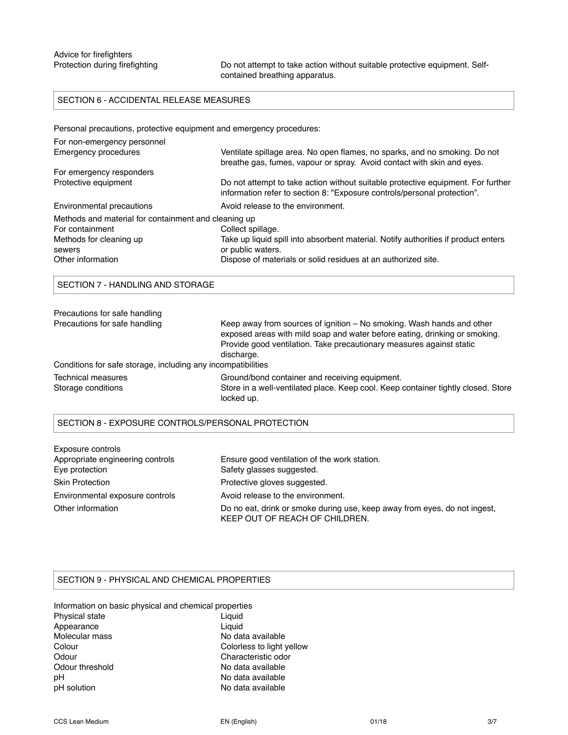Protection during firefighting Do not attempt to take action without suitable protective equipment. Selfcontained breathing apparatus.

# SECTION 6 - ACCIDENTAL RELEASE MEASURES

Personal precautions, protective equipment and emergency procedures:

| For non-emergency personnel                          |                                                                                                                                                              |  |  |  |
|------------------------------------------------------|--------------------------------------------------------------------------------------------------------------------------------------------------------------|--|--|--|
| Emergency procedures                                 | Ventilate spillage area. No open flames, no sparks, and no smoking. Do not<br>breathe gas, fumes, vapour or spray. Avoid contact with skin and eyes.         |  |  |  |
| For emergency responders                             |                                                                                                                                                              |  |  |  |
| Protective equipment                                 | Do not attempt to take action without suitable protective equipment. For further<br>information refer to section 8: "Exposure controls/personal protection". |  |  |  |
| Environmental precautions                            | Avoid release to the environment.                                                                                                                            |  |  |  |
| Methods and material for containment and cleaning up |                                                                                                                                                              |  |  |  |
| For containment                                      | Collect spillage.                                                                                                                                            |  |  |  |
| Methods for cleaning up                              | Take up liquid spill into absorbent material. Notify authorities if product enters                                                                           |  |  |  |
| sewers                                               | or public waters.                                                                                                                                            |  |  |  |
| Other information                                    | Dispose of materials or solid residues at an authorized site.                                                                                                |  |  |  |
|                                                      |                                                                                                                                                              |  |  |  |

SECTION 7 - HANDLING AND STORAGE

| Precautions for safe handling                                |                                                                                                                                                                                                                             |
|--------------------------------------------------------------|-----------------------------------------------------------------------------------------------------------------------------------------------------------------------------------------------------------------------------|
| Precautions for safe handling                                | Keep away from sources of ignition – No smoking. Wash hands and other<br>exposed areas with mild soap and water before eating, drinking or smoking.<br>Provide good ventilation. Take precautionary measures against static |
|                                                              | discharge.                                                                                                                                                                                                                  |
| Conditions for safe storage, including any incompatibilities |                                                                                                                                                                                                                             |
| Technical measures                                           | Ground/bond container and receiving equipment.                                                                                                                                                                              |
| Storage conditions                                           | Store in a well-ventilated place. Keep cool. Keep container tightly closed. Store<br>locked up.                                                                                                                             |

### SECTION 8 - EXPOSURE CONTROLS/PERSONAL PROTECTION

| Exposure controls                |                                                                                                             |
|----------------------------------|-------------------------------------------------------------------------------------------------------------|
| Appropriate engineering controls | Ensure good ventilation of the work station.                                                                |
| Eye protection                   | Safety glasses suggested.                                                                                   |
| <b>Skin Protection</b>           | Protective gloves suggested.                                                                                |
| Environmental exposure controls  | Avoid release to the environment.                                                                           |
| Other information                | Do no eat, drink or smoke during use, keep away from eyes, do not ingest,<br>KEEP OUT OF REACH OF CHILDREN. |

# SECTION 9 - PHYSICAL AND CHEMICAL PROPERTIES

Information on basic physical and chemical properties Physical state Liquid Appearance Liquid Molecular mass No data available Colour Colorless to light yellow Odour Characteristic odor Odour threshold No data available pH No data available pH solution No data available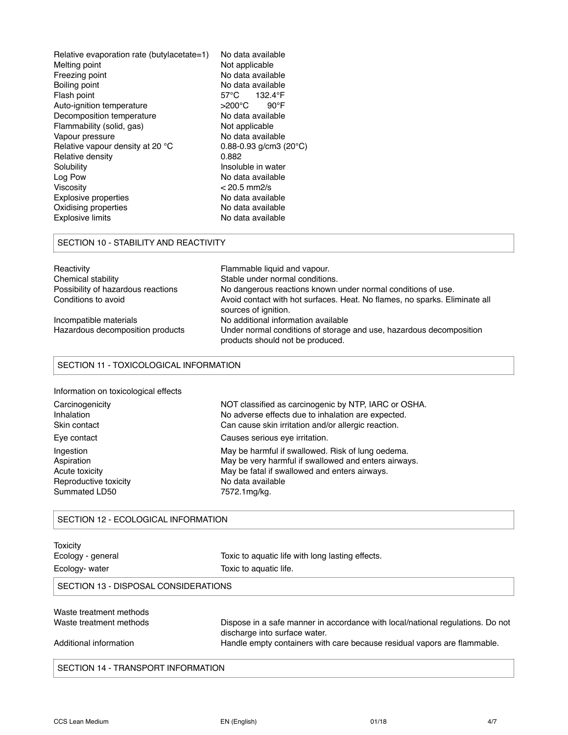| Relative evaporation rate (butylacetate=1)       | No data available                     |  |  |
|--------------------------------------------------|---------------------------------------|--|--|
| Melting point                                    | Not applicable                        |  |  |
| No data available<br>Freezing point              |                                       |  |  |
| Boiling point                                    | No data available                     |  |  |
| Flash point                                      | 57°C<br>132.4°F                       |  |  |
| Auto-ignition temperature                        | >200°C<br>$90^{\circ}$ F              |  |  |
| Decomposition temperature                        | No data available                     |  |  |
| Flammability (solid, gas)                        | Not applicable                        |  |  |
| Vapour pressure                                  | No data available                     |  |  |
| Relative vapour density at 20 °C                 | $0.88 - 0.93$ g/cm3 (20 $^{\circ}$ C) |  |  |
| Relative density                                 | 0.882                                 |  |  |
| Solubility                                       | Insoluble in water                    |  |  |
| Log Pow<br>No data available                     |                                       |  |  |
| Viscosity<br>$< 20.5$ mm2/s                      |                                       |  |  |
| <b>Explosive properties</b><br>No data available |                                       |  |  |
| Oxidising properties                             | No data available                     |  |  |
| <b>Explosive limits</b>                          | No data available                     |  |  |
|                                                  |                                       |  |  |

### SECTION 10 - STABILITY AND REACTIVITY

| Reactivity                         | Flammable liquid and vapour.                                                                            |  |  |  |
|------------------------------------|---------------------------------------------------------------------------------------------------------|--|--|--|
| Chemical stability                 | Stable under normal conditions.                                                                         |  |  |  |
| Possibility of hazardous reactions | No dangerous reactions known under normal conditions of use.                                            |  |  |  |
| Conditions to avoid                | Avoid contact with hot surfaces. Heat. No flames, no sparks. Eliminate all                              |  |  |  |
|                                    | sources of ignition.                                                                                    |  |  |  |
| Incompatible materials             | No additional information available                                                                     |  |  |  |
| Hazardous decomposition products   | Under normal conditions of storage and use, hazardous decomposition<br>products should not be produced. |  |  |  |

# SECTION 11 - TOXICOLOGICAL INFORMATION

|  | Information on toxicological effects |  |  |  |  |
|--|--------------------------------------|--|--|--|--|
|--|--------------------------------------|--|--|--|--|

| Carcinogenicity       | NOT classified as carcinogenic by NTP, IARC or OSHA. |
|-----------------------|------------------------------------------------------|
| Inhalation            | No adverse effects due to inhalation are expected.   |
| Skin contact          | Can cause skin irritation and/or allergic reaction.  |
| Eye contact           | Causes serious eye irritation.                       |
| Ingestion             | May be harmful if swallowed. Risk of lung oedema.    |
| Aspiration            | May be very harmful if swallowed and enters airways. |
| Acute toxicity        | May be fatal if swallowed and enters airways.        |
| Reproductive toxicity | No data available                                    |
| Summated LD50         | 7572.1mg/kg.                                         |

## SECTION 12 - ECOLOGICAL INFORMATION

| Toxicity                             |                                                                                                                 |  |
|--------------------------------------|-----------------------------------------------------------------------------------------------------------------|--|
| Ecology - general                    | Toxic to aquatic life with long lasting effects.                                                                |  |
| Ecology- water                       | Toxic to aquatic life.                                                                                          |  |
| SECTION 13 - DISPOSAL CONSIDERATIONS |                                                                                                                 |  |
| Waste treatment methods              |                                                                                                                 |  |
| Waste treatment methods              | Dispose in a safe manner in accordance with local/national regulations. Do not<br>discharge into surface water. |  |
| Additional information               | Handle empty containers with care because residual vapors are flammable.                                        |  |
|                                      |                                                                                                                 |  |

SECTION 14 - TRANSPORT INFORMATION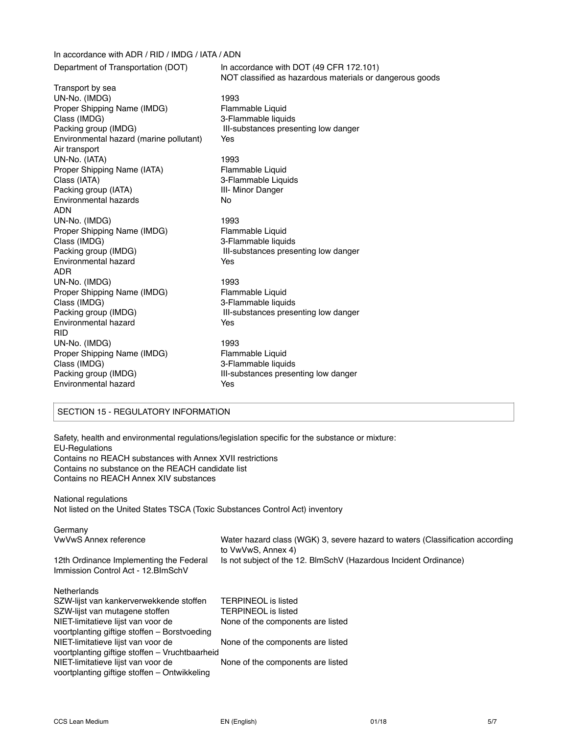In accordance with ADR / RID / IMDG / IATA / ADN Department of Transportation (DOT) In accordance with DOT (49 CFR 172.101) NOT classified as hazardous materials or dangerous goods Transport by sea UN-No. (IMDG)<br>Proper Shipping Name (IMDG) Flammable Liquid Proper Shipping Name (IMDG) Class (IMDG) 3-Flammable liquids Packing group (IMDG) **III-substances presenting low danger** Environmental hazard (marine pollutant) Yes Air transport UN-No. (IATA) 1993 Proper Shipping Name (IATA) Flammable Liquid Class (IATA) 3-Flammable Liquids Packing group (IATA) **III-** Minor Danger Environmental hazards No ADN UN-No. (IMDG) 1993 Proper Shipping Name (IMDG) Flammable Liquid Class (IMDG) 3-Flammable liquids Packing group (IMDG) **III-substances presenting low danger** Environmental hazard **Yes** ADR UN-No. (IMDG) 1993 Proper Shipping Name (IMDG) Flammable Liquid Class (IMDG) 3-Flammable liquids Packing group (IMDG) **III-substances presenting low danger** Environmental hazard **Yes** RID UN-No. (IMDG) 1993 Proper Shipping Name (IMDG) Flammable Liquid Class (IMDG) 3-Flammable liquids Packing group (IMDG) **III-substances presenting low danger** Environmental hazard **Yes** 

## SECTION 15 - REGULATORY INFORMATION

Safety, health and environmental regulations/legislation specific for the substance or mixture: EU-Regulations Contains no REACH substances with Annex XVII restrictions Contains no substance on the REACH candidate list Contains no REACH Annex XIV substances

National regulations

Not listed on the United States TSCA (Toxic Substances Control Act) inventory

| Germany                                                                            |                                                                                                     |
|------------------------------------------------------------------------------------|-----------------------------------------------------------------------------------------------------|
| <b>VwVwS Annex reference</b>                                                       | Water hazard class (WGK) 3, severe hazard to waters (Classification according<br>to VwVwS, Annex 4) |
| 12th Ordinance Implementing the Federal                                            | Is not subject of the 12. BlmSchV (Hazardous Incident Ordinance)                                    |
| Immission Control Act - 12. BlmSchV                                                |                                                                                                     |
| <b>Netherlands</b>                                                                 |                                                                                                     |
| SZW-lijst van kankerverwekkende stoffen                                            | <b>TERPINEOL</b> is listed                                                                          |
| SZW-lijst van mutagene stoffen                                                     | <b>TERPINEOL</b> is listed                                                                          |
| NIET-limitatieve lijst van voor de<br>voortplanting giftige stoffen – Borstvoeding | None of the components are listed                                                                   |
| NIET-limitatieve lijst van voor de                                                 | None of the components are listed                                                                   |
| voortplanting giftige stoffen - Vruchtbaarheid                                     |                                                                                                     |
| NIET-limitatieve lijst van voor de<br>voortplanting giftige stoffen - Ontwikkeling | None of the components are listed                                                                   |
|                                                                                    |                                                                                                     |